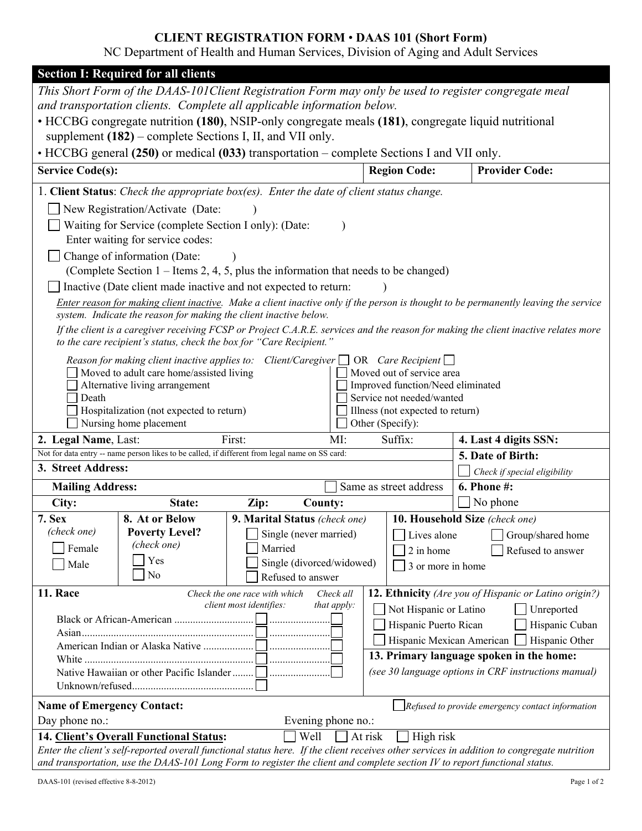# **CLIENT REGISTRATION FORM** • **DAAS 101 (Short Form)**

NC Department of Health and Human Services, Division of Aging and Adult Services

| <b>Section I: Required for all clients</b>                                                                                                                                                                 |                                                                                                                                                                    |                                                          |                                                             |                                   |                                                                                                                                            |  |  |
|------------------------------------------------------------------------------------------------------------------------------------------------------------------------------------------------------------|--------------------------------------------------------------------------------------------------------------------------------------------------------------------|----------------------------------------------------------|-------------------------------------------------------------|-----------------------------------|--------------------------------------------------------------------------------------------------------------------------------------------|--|--|
| This Short Form of the DAAS-101 Client Registration Form may only be used to register congregate meal                                                                                                      |                                                                                                                                                                    |                                                          |                                                             |                                   |                                                                                                                                            |  |  |
| and transportation clients. Complete all applicable information below.                                                                                                                                     |                                                                                                                                                                    |                                                          |                                                             |                                   |                                                                                                                                            |  |  |
|                                                                                                                                                                                                            | • HCCBG congregate nutrition (180), NSIP-only congregate meals (181), congregate liquid nutritional<br>supplement $(182)$ – complete Sections I, II, and VII only. |                                                          |                                                             |                                   |                                                                                                                                            |  |  |
|                                                                                                                                                                                                            | • HCCBG general (250) or medical (033) transportation – complete Sections I and VII only.                                                                          |                                                          |                                                             |                                   |                                                                                                                                            |  |  |
| <b>Service Code(s):</b>                                                                                                                                                                                    |                                                                                                                                                                    |                                                          |                                                             | <b>Region Code:</b>               | <b>Provider Code:</b>                                                                                                                      |  |  |
| 1. Client Status: Check the appropriate box(es). Enter the date of client status change.                                                                                                                   |                                                                                                                                                                    |                                                          |                                                             |                                   |                                                                                                                                            |  |  |
| New Registration/Activate (Date:                                                                                                                                                                           |                                                                                                                                                                    |                                                          |                                                             |                                   |                                                                                                                                            |  |  |
| Waiting for Service (complete Section I only): (Date:<br>Enter waiting for service codes:                                                                                                                  |                                                                                                                                                                    |                                                          |                                                             |                                   |                                                                                                                                            |  |  |
| Change of information (Date:<br>(Complete Section 1 – Items 2, 4, 5, plus the information that needs to be changed)                                                                                        |                                                                                                                                                                    |                                                          |                                                             |                                   |                                                                                                                                            |  |  |
| Inactive (Date client made inactive and not expected to return:                                                                                                                                            |                                                                                                                                                                    |                                                          |                                                             |                                   |                                                                                                                                            |  |  |
| Enter reason for making client inactive. Make a client inactive only if the person is thought to be permanently leaving the service<br>system. Indicate the reason for making the client inactive below.   |                                                                                                                                                                    |                                                          |                                                             |                                   |                                                                                                                                            |  |  |
| If the client is a caregiver receiving FCSP or Project C.A.R.E. services and the reason for making the client inactive relates more<br>to the care recipient's status, check the box for "Care Recipient." |                                                                                                                                                                    |                                                          |                                                             |                                   |                                                                                                                                            |  |  |
| Reason for making client inactive applies to: Client/Caregiver $\Box$ OR Care Recipient $\Box$<br>Moved out of service area<br>Moved to adult care home/assisted living                                    |                                                                                                                                                                    |                                                          |                                                             |                                   |                                                                                                                                            |  |  |
|                                                                                                                                                                                                            | Alternative living arrangement                                                                                                                                     |                                                          |                                                             | Improved function/Need eliminated |                                                                                                                                            |  |  |
| Death                                                                                                                                                                                                      |                                                                                                                                                                    |                                                          | Service not needed/wanted                                   |                                   |                                                                                                                                            |  |  |
|                                                                                                                                                                                                            | Hospitalization (not expected to return)                                                                                                                           |                                                          | Illness (not expected to return)                            |                                   |                                                                                                                                            |  |  |
| Nursing home placement<br>First:<br>2. Legal Name, Last:                                                                                                                                                   |                                                                                                                                                                    |                                                          | Other (Specify):<br>Suffix:<br>4. Last 4 digits SSN:<br>MI: |                                   |                                                                                                                                            |  |  |
|                                                                                                                                                                                                            | Not for data entry -- name person likes to be called, if different from legal name on SS card:                                                                     |                                                          |                                                             |                                   | 5. Date of Birth:                                                                                                                          |  |  |
| 3. Street Address:                                                                                                                                                                                         |                                                                                                                                                                    |                                                          |                                                             |                                   | Check if special eligibility                                                                                                               |  |  |
| <b>Mailing Address:</b>                                                                                                                                                                                    |                                                                                                                                                                    |                                                          | Same as street address                                      |                                   | 6. Phone #:                                                                                                                                |  |  |
| City:                                                                                                                                                                                                      | State:                                                                                                                                                             | Zip:                                                     | County:                                                     |                                   | No phone                                                                                                                                   |  |  |
| 7. Sex                                                                                                                                                                                                     | 8. At or Below                                                                                                                                                     | 9. Marital Status (check one)                            |                                                             |                                   | 10. Household Size (check one)                                                                                                             |  |  |
| (check one)                                                                                                                                                                                                | <b>Poverty Level?</b>                                                                                                                                              | Single (never married)                                   |                                                             | Lives alone                       | $\hfill\Box$ Group/shared home                                                                                                             |  |  |
| Female                                                                                                                                                                                                     | (check one)                                                                                                                                                        | Married<br>2 in home<br>Refused to answer                |                                                             |                                   |                                                                                                                                            |  |  |
| Male                                                                                                                                                                                                       | Yes<br>N <sub>0</sub>                                                                                                                                              | Single (divorced/widowed)                                |                                                             | 3 or more in home                 |                                                                                                                                            |  |  |
|                                                                                                                                                                                                            |                                                                                                                                                                    | Refused to answer                                        |                                                             |                                   |                                                                                                                                            |  |  |
| 11. Race                                                                                                                                                                                                   |                                                                                                                                                                    | Check the one race with which<br>client most identifies: | Check all<br>that apply:                                    |                                   | <b>12. Ethnicity</b> (Are you of Hispanic or Latino origin?)                                                                               |  |  |
| Not Hispanic or Latino<br>Unreported                                                                                                                                                                       |                                                                                                                                                                    |                                                          |                                                             |                                   |                                                                                                                                            |  |  |
| Hispanic Puerto Rican<br>Hispanic Cuban                                                                                                                                                                    |                                                                                                                                                                    |                                                          |                                                             |                                   |                                                                                                                                            |  |  |
| Hispanic Mexican American<br>Hispanic Other                                                                                                                                                                |                                                                                                                                                                    |                                                          |                                                             |                                   |                                                                                                                                            |  |  |
| 13. Primary language spoken in the home:                                                                                                                                                                   |                                                                                                                                                                    |                                                          |                                                             |                                   |                                                                                                                                            |  |  |
| (see 30 language options in CRF instructions manual)                                                                                                                                                       |                                                                                                                                                                    |                                                          |                                                             |                                   |                                                                                                                                            |  |  |
| <b>Name of Emergency Contact:</b><br>$\Box$ Refused to provide emergency contact information                                                                                                               |                                                                                                                                                                    |                                                          |                                                             |                                   |                                                                                                                                            |  |  |
| Day phone no.:<br>Evening phone no.:                                                                                                                                                                       |                                                                                                                                                                    |                                                          |                                                             |                                   |                                                                                                                                            |  |  |
|                                                                                                                                                                                                            | 14. Client's Overall Functional Status:                                                                                                                            | Well                                                     | At risk                                                     | High risk                         |                                                                                                                                            |  |  |
|                                                                                                                                                                                                            |                                                                                                                                                                    |                                                          |                                                             |                                   | Enter the client's self-reported overall functional status here. If the client receives other services in addition to congregate nutrition |  |  |
| and transportation, use the DAAS-101 Long Form to register the client and complete section IV to report functional status.                                                                                 |                                                                                                                                                                    |                                                          |                                                             |                                   |                                                                                                                                            |  |  |